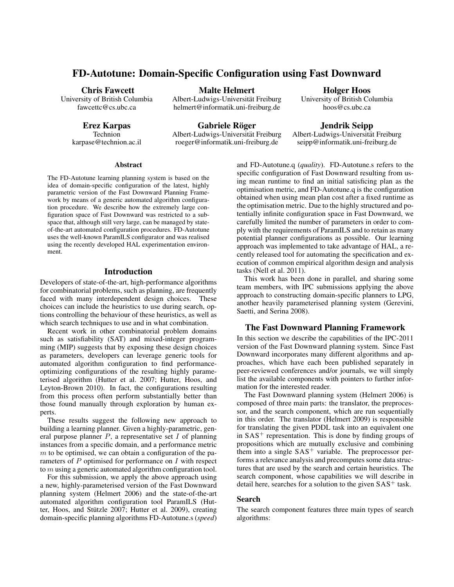# FD-Autotune: Domain-Specific Configuration using Fast Downward

#### Chris Fawcett

University of British Columbia fawcettc@cs.ubc.ca

Erez Karpas

Technion karpase@technion.ac.il

Malte Helmert

Albert-Ludwigs-Universität Freiburg helmert@informatik.uni-freiburg.de

Holger Hoos University of British Columbia hoos@cs.ubc.ca

Gabriele Röger

Albert-Ludwigs-Universität Freiburg roeger@informatik.uni-freiburg.de

Jendrik Seipp Albert-Ludwigs-Universitat Freiburg ¨ seipp@informatik.uni-freiburg.de

# Abstract

The FD-Autotune learning planning system is based on the idea of domain-specific configuration of the latest, highly parametric version of the Fast Downward Planning Framework by means of a generic automated algorithm configuration procedure. We describe how the extremely large configuration space of Fast Downward was restricted to a subspace that, although still very large, can be managed by stateof-the-art automated configuration procedures. FD-Autotune uses the well-known ParamILS configurator and was realised using the recently developed HAL experimentation environment.

### Introduction

Developers of state-of-the-art, high-performance algorithms for combinatorial problems, such as planning, are frequently faced with many interdependent design choices. These choices can include the heuristics to use during search, options controlling the behaviour of these heuristics, as well as which search techniques to use and in what combination.

Recent work in other combinatorial problem domains such as satisfiability (SAT) and mixed-integer programming (MIP) suggests that by exposing these design choices as parameters, developers can leverage generic tools for automated algorithm configuration to find performanceoptimizing configurations of the resulting highly parameterised algorithm (Hutter et al. 2007; Hutter, Hoos, and Leyton-Brown 2010). In fact, the configurations resulting from this process often perform substantially better than those found manually through exploration by human experts.

These results suggest the following new approach to building a learning planner. Given a highly-parametric, general purpose planner  $P$ , a representative set  $I$  of planning instances from a specific domain, and a performance metric  $m$  to be optimised, we can obtain a configuration of the parameters of P optimised for performance on I with respect to m using a generic automated algorithm configuration tool.

For this submission, we apply the above approach using a new, highly-parameterised version of the Fast Downward planning system (Helmert 2006) and the state-of-the-art automated algorithm configuration tool ParamILS (Hutter, Hoos, and Stützle 2007; Hutter et al. 2009), creating domain-specific planning algorithms FD-Autotune.s (*speed*)

and FD-Autotune.q (*quality*). FD-Autotune.s refers to the specific configuration of Fast Downward resulting from using mean runtime to find an initial satisficing plan as the optimisation metric, and FD-Autotune.q is the configuration obtained when using mean plan cost after a fixed runtime as the optimisation metric. Due to the highly structured and potentially infinite configuration space in Fast Downward, we carefully limited the number of parameters in order to comply with the requirements of ParamILS and to retain as many potential planner configurations as possible. Our learning approach was implemented to take advantage of HAL, a recently released tool for automating the specification and execution of common empirical algorithm design and analysis tasks (Nell et al. 2011).

This work has been done in parallel, and sharing some team members, with IPC submissions applying the above approach to constructing domain-specific planners to LPG, another heavily parameterised planning system (Gerevini, Saetti, and Serina 2008).

# The Fast Downward Planning Framework

In this section we describe the capabilities of the IPC-2011 version of the Fast Downward planning system. Since Fast Downward incorporates many different algorithms and approaches, which have each been published separately in peer-reviewed conferences and/or journals, we will simply list the available components with pointers to further information for the interested reader.

The Fast Downward planning system (Helmert 2006) is composed of three main parts: the translator, the preprocessor, and the search component, which are run sequentially in this order. The translator (Helmert 2009) is responsible for translating the given PDDL task into an equivalent one in  $SAS<sup>+</sup>$  representation. This is done by finding groups of propositions which are mutually exclusive and combining them into a single  $SAS^+$  variable. The preprocessor performs a relevance analysis and precomputes some data structures that are used by the search and certain heuristics. The search component, whose capabilities we will describe in detail here, searches for a solution to the given  $SAS<sup>+</sup>$  task.

# Search

The search component features three main types of search algorithms: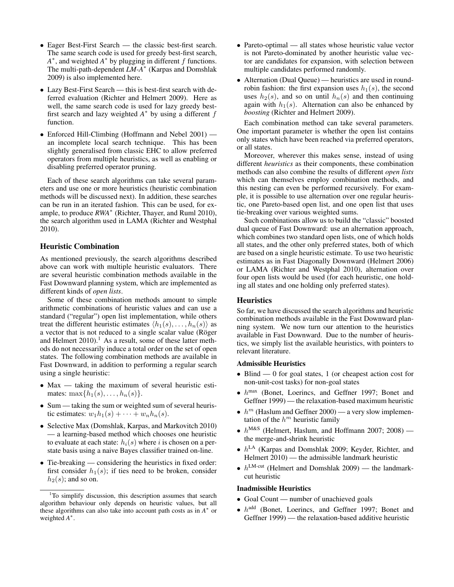- Eager Best-First Search the classic best-first search. The same search code is used for greedy best-first search,  $A^*$ , and weighted  $A^*$  by plugging in different f functions. The multi-path-dependent *LM-A*<sup>∗</sup> (Karpas and Domshlak 2009) is also implemented here.
- Lazy Best-First Search this is best-first search with deferred evaluation (Richter and Helmert 2009). Here as well, the same search code is used for lazy greedy bestfirst search and lazy weighted  $A^*$  by using a different  $f$ function.
- Enforced Hill-Climbing (Hoffmann and Nebel 2001) an incomplete local search technique. This has been slightly generalised from classic EHC to allow preferred operators from multiple heuristics, as well as enabling or disabling preferred operator pruning.

Each of these search algorithms can take several parameters and use one or more heuristics (heuristic combination methods will be discussed next). In addition, these searches can be run in an iterated fashion. This can be used, for example, to produce *RWA*<sup>∗</sup> (Richter, Thayer, and Ruml 2010), the search algorithm used in LAMA (Richter and Westphal 2010).

# Heuristic Combination

As mentioned previously, the search algorithms described above can work with multiple heuristic evaluators. There are several heuristic combination methods available in the Fast Downward planning system, which are implemented as different kinds of *open lists*.

Some of these combination methods amount to simple arithmetic combinations of heuristic values and can use a standard ("regular") open list implementation, while others treat the different heuristic estimates  $\langle h_1(s), \ldots, h_n(s) \rangle$  as a vector that is not reduced to a single scalar value (Röger and Helmert  $2010$ .<sup>1</sup> As a result, some of these latter methods do not necessarily induce a total order on the set of open states. The following combination methods are available in Fast Downward, in addition to performing a regular search using a single heuristic:

- Max taking the maximum of several heuristic estimates:  $\max\{h_1(s), \ldots, h_n(s)\}.$
- Sum taking the sum or weighted sum of several heuristic estimates:  $w_1h_1(s) + \cdots + w_nh_n(s)$ .
- Selective Max (Domshlak, Karpas, and Markovitch 2010) — a learning-based method which chooses one heuristic to evaluate at each state:  $h_i(s)$  where i is chosen on a perstate basis using a naive Bayes classifier trained on-line.
- Tie-breaking considering the heuristics in fixed order: first consider  $h_1(s)$ ; if ties need to be broken, consider  $h_2(s)$ ; and so on.
- Pareto-optimal all states whose heuristic value vector is not Pareto-dominated by another heuristic value vector are candidates for expansion, with selection between multiple candidates performed randomly.
- Alternation (Dual Queue) heuristics are used in roundrobin fashion: the first expansion uses  $h_1(s)$ , the second uses  $h_2(s)$ , and so on until  $h_n(s)$  and then continuing again with  $h_1(s)$ . Alternation can also be enhanced by *boosting* (Richter and Helmert 2009).

Each combination method can take several parameters. One important parameter is whether the open list contains only states which have been reached via preferred operators, or all states.

Moreover, wherever this makes sense, instead of using different *heuristics* as their components, these combination methods can also combine the results of different *open lists* which can themselves employ combination methods, and this nesting can even be performed recursively. For example, it is possible to use alternation over one regular heuristic, one Pareto-based open list, and one open list that uses tie-breaking over various weighted sums.

Such combinations allow us to build the "classic" boosted dual queue of Fast Downward: use an alternation approach, which combines two standard open lists, one of which holds all states, and the other only preferred states, both of which are based on a single heuristic estimate. To use two heuristic estimates as in Fast Diagonally Downward (Helmert 2006) or LAMA (Richter and Westphal 2010), alternation over four open lists would be used (for each heuristic, one holding all states and one holding only preferred states).

### **Heuristics**

So far, we have discussed the search algorithms and heuristic combination methods available in the Fast Downward planning system. We now turn our attention to the heuristics available in Fast Downward. Due to the number of heuristics, we simply list the available heuristics, with pointers to relevant literature.

#### Admissible Heuristics

- Blind 0 for goal states, 1 (or cheapest action cost for non-unit-cost tasks) for non-goal states
- $\bullet$   $h^{\text{max}}$  (Bonet, Loerincs, and Geffner 1997; Bonet and Geffner 1999) — the relaxation-based maximum heuristic
- $h^m$  (Haslum and Geffner 2000) a very slow implementation of the  $h^m$  heuristic family
- $h^{\text{M&S}}$  (Helmert, Haslum, and Hoffmann 2007; 2008) the merge-and-shrink heuristic
- $h^{\text{LA}}$  (Karpas and Domshlak 2009; Keyder, Richter, and Helmert  $2010$  — the admissible landmark heuristic
- $h^{\text{LM-cut}}$  (Helmert and Domshlak 2009) the landmarkcut heuristic

#### Inadmissible Heuristics

- Goal Count number of unachieved goals
- $\bullet$   $h^{\text{add}}$  (Bonet, Loerincs, and Geffner 1997; Bonet and Geffner 1999) — the relaxation-based additive heuristic

<sup>&</sup>lt;sup>1</sup>To simplify discussion, this description assumes that search algorithm behaviour only depends on heuristic values, but all these algorithms can also take into account path costs as in *A*<sup>∗</sup> or weighted *A* ∗ .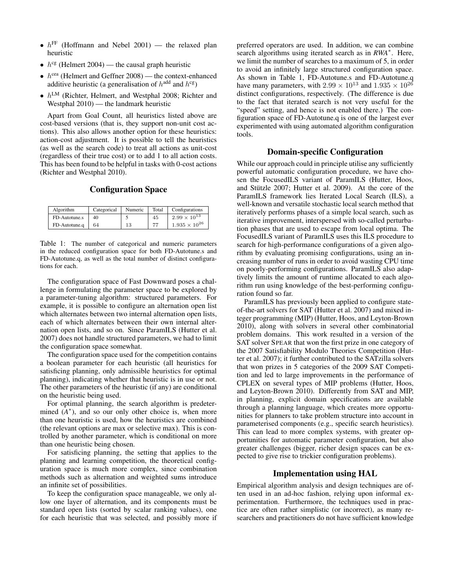- $h^{\text{FF}}$  (Hoffmann and Nebel 2001) the relaxed plan heuristic
- $h^{\text{cg}}$  (Helmert 2004) the causal graph heuristic
- $h^{\text{cea}}$  (Helmert and Geffner 2008) the context-enhanced additive heuristic (a generalisation of  $h^{\text{add}}$  and  $h^{\text{cg}}$ )
- $h^{\text{LM}}$  (Richter, Helmert, and Westphal 2008; Richter and Westphal 2010) — the landmark heuristic

Apart from Goal Count, all heuristics listed above are cost-based versions (that is, they support non-unit cost actions). This also allows another option for these heuristics: action-cost adjustment. It is possible to tell the heuristics (as well as the search code) to treat all actions as unit-cost (regardless of their true cost) or to add 1 to all action costs. This has been found to be helpful in tasks with 0-cost actions (Richter and Westphal 2010).

# Configuration Space

| Algorithm     | Categorical | Numeric | Total | Configurations         |
|---------------|-------------|---------|-------|------------------------|
| FD-Autotune.s | 40          |         | 45    | $2.99 \times 10^{13}$  |
| FD-Autotune.q | 64          | 13      | 77    | $1.935 \times 10^{26}$ |

Table 1: The number of categorical and numeric parameters in the reduced configuration space for both FD-Autotune.s and FD-Autotune.q, as well as the total number of distinct configurations for each.

The configuration space of Fast Downward poses a challenge in formulating the parameter space to be explored by a parameter-tuning algorithm: structured parameters. For example, it is possible to configure an alternation open list which alternates between two internal alternation open lists, each of which alternates between their own internal alternation open lists, and so on. Since ParamILS (Hutter et al. 2007) does not handle structured parameters, we had to limit the configuration space somewhat.

The configuration space used for the competition contains a boolean parameter for each heuristic (all heuristics for satisficing planning, only admissible heuristics for optimal planning), indicating whether that heuristic is in use or not. The other parameters of the heuristic (if any) are conditional on the heuristic being used.

For optimal planning, the search algorithm is predetermined  $(A^*)$ , and so our only other choice is, when more than one heuristic is used, how the heuristics are combined (the relevant options are max or selective max). This is controlled by another parameter, which is conditional on more than one heuristic being chosen.

For satisficing planning, the setting that applies to the planning and learning competition, the theoretical configuration space is much more complex, since combination methods such as alternation and weighted sums introduce an infinite set of possibilities.

To keep the configuration space manageable, we only allow one layer of alternation, and its components must be standard open lists (sorted by scalar ranking values), one for each heuristic that was selected, and possibly more if preferred operators are used. In addition, we can combine search algorithms using iterated search as in *RWA*<sup>∗</sup> . Here, we limit the number of searches to a maximum of 5, in order to avoid an infinitely large structured configuration space. As shown in Table 1, FD-Autotune.s and FD-Autotune.q have many parameters, with  $2.99 \times 10^{13}$  and  $1.935 \times 10^{26}$ distinct configurations, respectively. (The difference is due to the fact that iterated search is not very useful for the "speed" setting, and hence is not enabled there.) The configuration space of FD-Autotune.q is one of the largest ever experimented with using automated algorithm configuration tools.

# Domain-specific Configuration

While our approach could in principle utilise any sufficiently powerful automatic configuration procedure, we have chosen the FocusedILS variant of ParamILS (Hutter, Hoos, and Stützle  $2007$ ; Hutter et al.  $2009$ ). At the core of the ParamILS framework lies Iterated Local Search (ILS), a well-known and versatile stochastic local search method that iteratively performs phases of a simple local search, such as iterative improvement, interspersed with so-called perturbation phases that are used to escape from local optima. The FocusedILS variant of ParamILS uses this ILS procedure to search for high-performance configurations of a given algorithm by evaluating promising configurations, using an increasing number of runs in order to avoid wasting CPU time on poorly-performing configurations. ParamILS also adaptively limits the amount of runtime allocated to each algorithm run using knowledge of the best-performing configuration found so far.

ParamILS has previously been applied to configure stateof-the-art solvers for SAT (Hutter et al. 2007) and mixed integer programming (MIP) (Hutter, Hoos, and Leyton-Brown 2010), along with solvers in several other combinatorial problem domains. This work resulted in a version of the SAT solver SPEAR that won the first prize in one category of the 2007 Satisfiability Modulo Theories Competition (Hutter et al. 2007); it further contributed to the SATzilla solvers that won prizes in 5 categories of the 2009 SAT Competition and led to large improvements in the performance of CPLEX on several types of MIP problems (Hutter, Hoos, and Leyton-Brown 2010). Differently from SAT and MIP, in planning, explicit domain specifications are available through a planning language, which creates more opportunities for planners to take problem structure into account in parameterised components (e.g., specific search heuristics). This can lead to more complex systems, with greater opportunities for automatic parameter configuration, but also greater challenges (bigger, richer design spaces can be expected to give rise to trickier configuration problems).

# Implementation using HAL

Empirical algorithm analysis and design techniques are often used in an ad-hoc fashion, relying upon informal experimentation. Furthermore, the techniques used in practice are often rather simplistic (or incorrect), as many researchers and practitioners do not have sufficient knowledge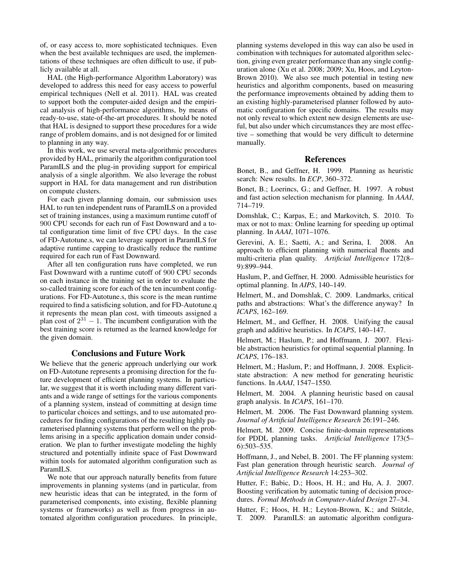of, or easy access to, more sophisticated techniques. Even when the best available techniques are used, the implementations of these techniques are often difficult to use, if publicly available at all.

HAL (the High-performance Algorithm Laboratory) was developed to address this need for easy access to powerful empirical techniques (Nell et al. 2011). HAL was created to support both the computer-aided design and the empirical analysis of high-performance algorithms, by means of ready-to-use, state-of-the-art procedures. It should be noted that HAL is designed to support these procedures for a wide range of problem domains, and is not designed for or limited to planning in any way.

In this work, we use several meta-algorithmic procedures provided by HAL, primarily the algorithm configuration tool ParamILS and the plug-in providing support for empirical analysis of a single algorithm. We also leverage the robust support in HAL for data management and run distribution on compute clusters.

For each given planning domain, our submission uses HAL to run ten independent runs of ParamILS on a provided set of training instances, using a maximum runtime cutoff of 900 CPU seconds for each run of Fast Downward and a total configuration time limit of five CPU days. In the case of FD-Autotune.s, we can leverage support in ParamILS for adaptive runtime capping to drastically reduce the runtime required for each run of Fast Downward.

After all ten configuration runs have completed, we run Fast Downward with a runtime cutoff of 900 CPU seconds on each instance in the training set in order to evaluate the so-called training score for each of the ten incumbent configurations. For FD-Autotune.s, this score is the mean runtime required to find a satisficing solution, and for FD-Autotune.q it represents the mean plan cost, with timeouts assigned a plan cost of  $2^{31} - 1$ . The incumbent configuration with the best training score is returned as the learned knowledge for the given domain.

# Conclusions and Future Work

We believe that the generic approach underlying our work on FD-Autotune represents a promising direction for the future development of efficient planning systems. In particular, we suggest that it is worth including many different variants and a wide range of settings for the various components of a planning system, instead of committing at design time to particular choices and settings, and to use automated procedures for finding configurations of the resulting highly parameterised planning systems that perform well on the problems arising in a specific application domain under consideration. We plan to further investigate modeling the highly structured and potentially infinite space of Fast Downward within tools for automated algorithm configuration such as ParamILS.

We note that our approach naturally benefits from future improvements in planning systems (and in particular, from new heuristic ideas that can be integrated, in the form of parameterised components, into existing, flexible planning systems or frameworks) as well as from progress in automated algorithm configuration procedures. In principle, planning systems developed in this way can also be used in combination with techniques for automated algorithm selection, giving even greater performance than any single configuration alone (Xu et al. 2008; 2009; Xu, Hoos, and Leyton-Brown 2010). We also see much potential in testing new heuristics and algorithm components, based on measuring the performance improvements obtained by adding them to an existing highly-parameterised planner followed by automatic configuration for specific domains. The results may not only reveal to which extent new design elements are useful, but also under which circumstances they are most effective – something that would be very difficult to determine manually.

# References

Bonet, B., and Geffner, H. 1999. Planning as heuristic search: New results. In *ECP*, 360–372.

Bonet, B.; Loerincs, G.; and Geffner, H. 1997. A robust and fast action selection mechanism for planning. In *AAAI*, 714–719.

Domshlak, C.; Karpas, E.; and Markovitch, S. 2010. To max or not to max: Online learning for speeding up optimal planning. In *AAAI*, 1071–1076.

Gerevini, A. E.; Saetti, A.; and Serina, I. 2008. An approach to efficient planning with numerical fluents and multi-criteria plan quality. *Artificial Intelligence* 172(8– 9):899–944.

Haslum, P., and Geffner, H. 2000. Admissible heuristics for optimal planning. In *AIPS*, 140–149.

Helmert, M., and Domshlak, C. 2009. Landmarks, critical paths and abstractions: What's the difference anyway? In *ICAPS*, 162–169.

Helmert, M., and Geffner, H. 2008. Unifying the causal graph and additive heuristics. In *ICAPS*, 140–147.

Helmert, M.; Haslum, P.; and Hoffmann, J. 2007. Flexible abstraction heuristics for optimal sequential planning. In *ICAPS*, 176–183.

Helmert, M.; Haslum, P.; and Hoffmann, J. 2008. Explicitstate abstraction: A new method for generating heuristic functions. In *AAAI*, 1547–1550.

Helmert, M. 2004. A planning heuristic based on causal graph analysis. In *ICAPS*, 161–170.

Helmert, M. 2006. The Fast Downward planning system. *Journal of Artificial Intelligence Research* 26:191–246.

Helmert, M. 2009. Concise finite-domain representations for PDDL planning tasks. *Artificial Intelligence* 173(5– 6):503–535.

Hoffmann, J., and Nebel, B. 2001. The FF planning system: Fast plan generation through heuristic search. *Journal of Artificial Intelligence Research* 14:253–302.

Hutter, F.; Babic, D.; Hoos, H. H.; and Hu, A. J. 2007. Boosting verification by automatic tuning of decision procedures. *Formal Methods in Computer-Aided Design* 27–34.

Hutter, F.; Hoos, H. H.; Leyton-Brown, K.; and Stützle, T. 2009. ParamILS: an automatic algorithm configura